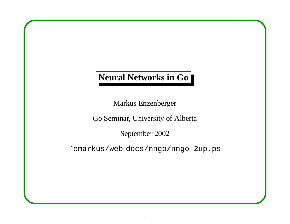## **Neural Networks in Go**

Markus Enzenberger

Go Seminar, University of Alberta

September 2002

˜emarkus/web docs/nngo/nngo-2up.ps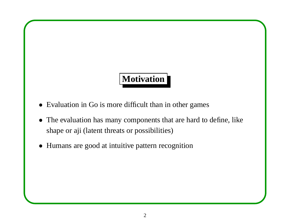# **Motivation**

- Evaluation in Go is more difficult than in other games
- The evaluation has many components that are hard to define, like shape or aji (latent threats or possibilities)
- Humans are good at intuitive pattern recognition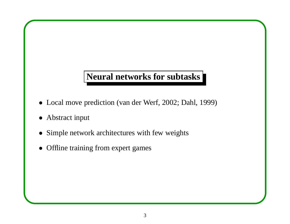### **Neural networks for subtasks**

- Local move prediction (van der Werf, 2002; Dahl, 1999)
- Abstract input
- Simple network architectures with few weights
- Offline training from expert games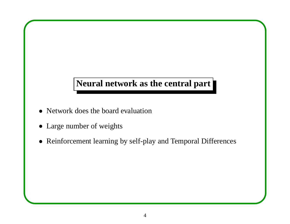## **Neural network as the central part**

- Network does the board evaluation
- Large number of weights
- Reinforcement learning by self-play and Temporal Differences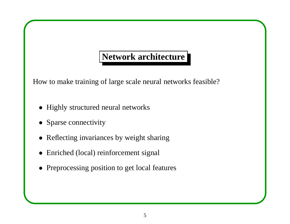## **Network architecture**

How to make training of large scale neural networks feasible?

- Highly structured neural networks
- Sparse connectivity
- Reflecting invariances by weight sharing
- Enriched (local) reinforcement signal
- Preprocessing position to get local features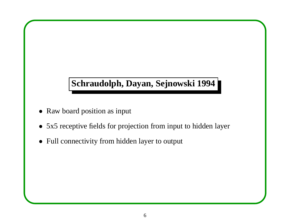## **Schraudolph, Dayan, Sejnowski 1994**

- Raw board position as input
- 5x5 receptive fields for projection from input to hidden layer
- Full connectivity from hidden layer to output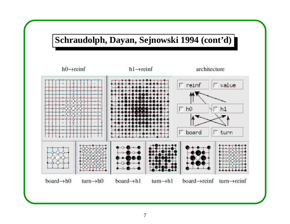

#### 7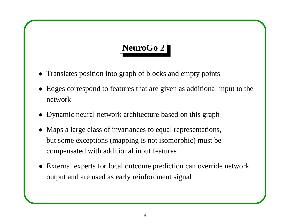# **NeuroGo 2**

- Translates position into graph of blocks and empty points
- Edges correspond to features that are given as additional input to the network
- Dynamic neural network architecture based on this graph
- Maps a large class of invariances to equal representations, but some exceptions (mapping is not isomorphic) must be compensated with additional input features
- External experts for local outcome prediction can override network output and are used as early reinforcment signal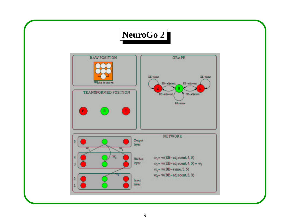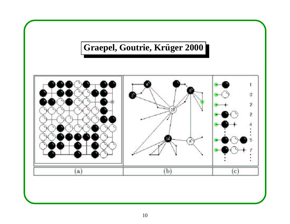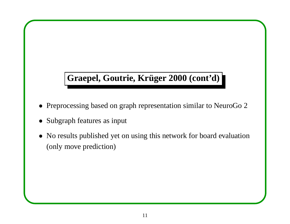## **Graepel, Goutrie, Kruger ¨ 2000 (cont'd)**

- Preprocessing based on graph representation similar to NeuroGo 2
- Subgraph features as input
- No results published yet on using this network for board evaluation (only move prediction)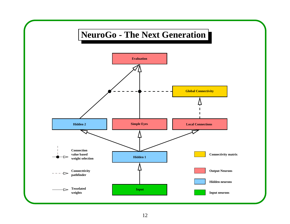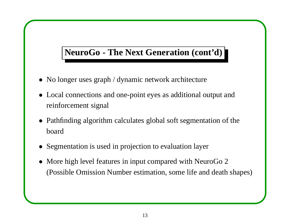## **NeuroGo - The Next Generation (cont'd)**

- No longer uses graph / dynamic network architecture
- Local connections and one-point eyes as additional output and reinforcement signal
- Pathfinding algorithm calculates global soft segmentation of the board
- Segmentation is used in projection to evaluation layer
- More high level features in input compared with NeuroGo 2 (Possible Omission Number estimation, some life and death shapes)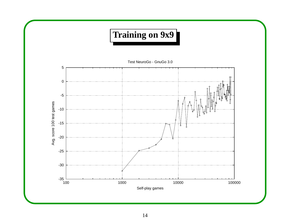